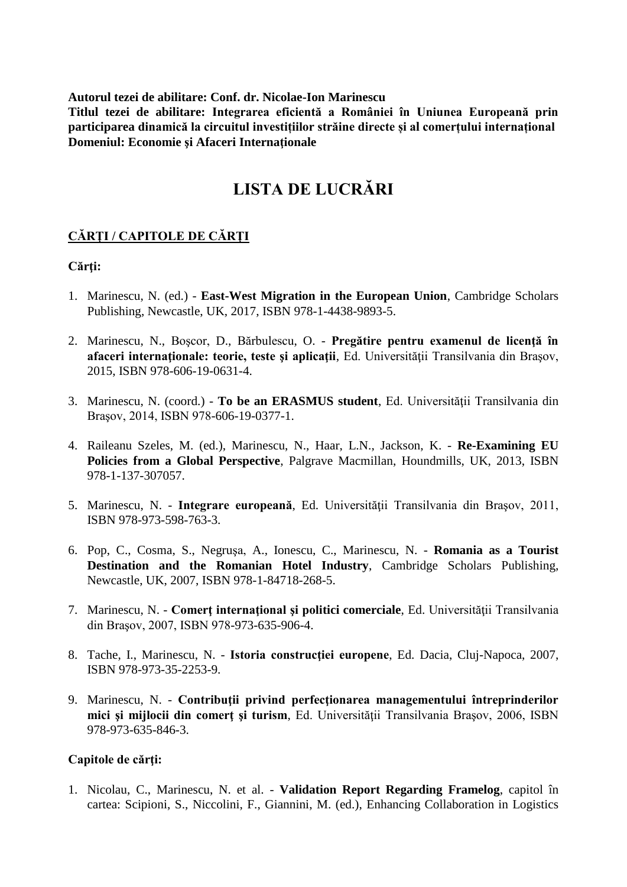**Autorul tezei de abilitare: Conf. dr. Nicolae-Ion Marinescu**

**Titlul tezei de abilitare: Integrarea eficientă a României în Uniunea Europeană prin participarea dinamică la circuitul investițiilor străine directe și al comerțului internațional Domeniul: Economie şi Afaceri Internaţionale**

# **LISTA DE LUCRĂRI**

## **CĂRŢI / CAPITOLE DE CĂRŢI**

#### Cărti:

- 1. Marinescu, N. (ed.) **East-West Migration in the European Union**, Cambridge Scholars Publishing, Newcastle, UK, 2017, ISBN 978-1-4438-9893-5.
- 2. Marinescu, N., Boşcor, D., Bărbulescu, O. **Pregătire pentru examenul de licenţă în afaceri internaţionale: teorie, teste şi aplicaţii**, Ed. Universităţii Transilvania din Braşov, 2015, ISBN 978-606-19-0631-4.
- 3. Marinescu, N. (coord.) **To be an ERASMUS student**, Ed. Universităţii Transilvania din Braşov, 2014, ISBN 978-606-19-0377-1.
- 4. Raileanu Szeles, M. (ed.), Marinescu, N., Haar, L.N., Jackson, K. **Re-Examining EU Policies from a Global Perspective**, Palgrave Macmillan, Houndmills, UK, 2013, ISBN 978-1-137-307057.
- 5. Marinescu, N. **Integrare europeană**, Ed. Universităţii Transilvania din Braşov, 2011, ISBN 978-973-598-763-3.
- 6. Pop, C., Cosma, S., Negruşa, A., Ionescu, C., Marinescu, N. **Romania as a Tourist Destination and the Romanian Hotel Industry**, Cambridge Scholars Publishing, Newcastle, UK, 2007, ISBN 978-1-84718-268-5.
- 7. Marinescu, N. **Comerţ internaţional şi politici comerciale**, Ed. Universităţii Transilvania din Braşov, 2007, ISBN 978-973-635-906-4.
- 8. Tache, I., Marinescu, N. **Istoria construcţiei europene**, Ed. Dacia, Cluj-Napoca, 2007, ISBN 978-973-35-2253-9.
- 9. Marinescu, N. **Contribuţii privind perfecţionarea managementului întreprinderilor mici şi mijlocii din comerţ şi turism**, Ed. Universităţii Transilvania Braşov, 2006, ISBN 978-973-635-846-3.

#### Capitole de cărti:

1. Nicolau, C., Marinescu, N. et al. - **Validation Report Regarding Framelog**, capitol în cartea: Scipioni, S., Niccolini, F., Giannini, M. (ed.), Enhancing Collaboration in Logistics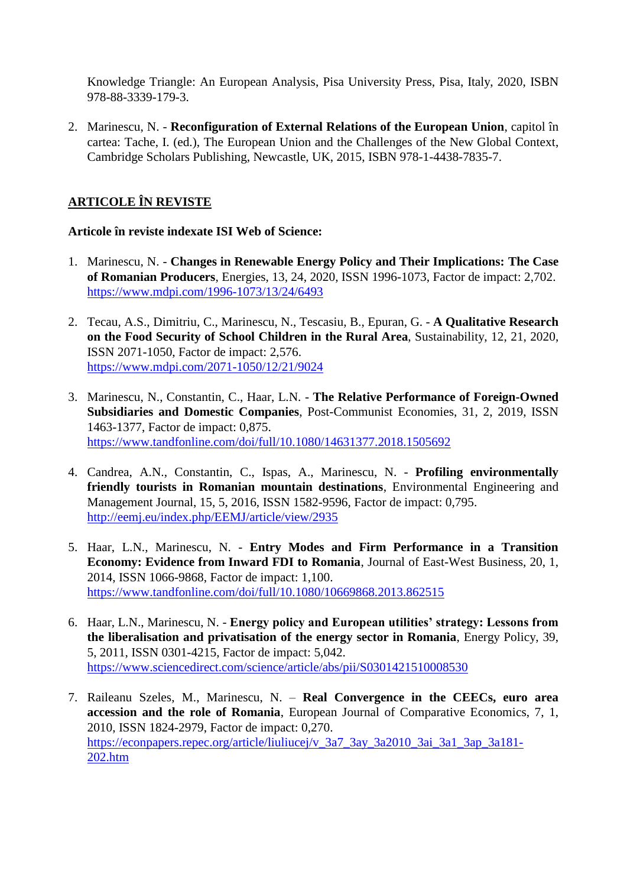Knowledge Triangle: An European Analysis, Pisa University Press, Pisa, Italy, 2020, ISBN 978-88-3339-179-3.

2. Marinescu, N. - **Reconfiguration of External Relations of the European Union**, capitol în cartea: Tache, I. (ed.), The European Union and the Challenges of the New Global Context, Cambridge Scholars Publishing, Newcastle, UK, 2015, ISBN 978-1-4438-7835-7.

# **ARTICOLE ÎN REVISTE**

### **Articole în reviste indexate ISI Web of Science:**

- 1. Marinescu, N. **Changes in Renewable Energy Policy and Their Implications: The Case of Romanian Producers**, Energies, 13, 24, 2020, ISSN 1996-1073, Factor de impact: 2,702. <https://www.mdpi.com/1996-1073/13/24/6493>
- 2. Tecau, A.S., Dimitriu, C., Marinescu, N., Tescasiu, B., Epuran, G. **A Qualitative Research on the Food Security of School Children in the Rural Area**, Sustainability, 12, 21, 2020, ISSN 2071-1050, Factor de impact: 2,576. <https://www.mdpi.com/2071-1050/12/21/9024>
- 3. Marinescu, N., Constantin, C., Haar, L.N. **The Relative Performance of Foreign-Owned Subsidiaries and Domestic Companies**, Post-Communist Economies, 31, 2, 2019, ISSN 1463-1377, Factor de impact: 0,875. <https://www.tandfonline.com/doi/full/10.1080/14631377.2018.1505692>
- 4. Candrea, A.N., Constantin, C., Ispas, A., Marinescu, N. **Profiling environmentally friendly tourists in Romanian mountain destinations**, Environmental Engineering and Management Journal, 15, 5, 2016, ISSN 1582-9596, Factor de impact: 0,795. <http://eemj.eu/index.php/EEMJ/article/view/2935>
- 5. Haar, L.N., Marinescu, N. **Entry Modes and Firm Performance in a Transition Economy: Evidence from Inward FDI to Romania**, Journal of East-West Business, 20, 1, 2014, ISSN 1066-9868, Factor de impact: 1,100. <https://www.tandfonline.com/doi/full/10.1080/10669868.2013.862515>
- 6. Haar, L.N., Marinescu, N. **Energy policy and European utilities' strategy: Lessons from the liberalisation and privatisation of the energy sector in Romania**, Energy Policy, 39, 5, 2011, ISSN 0301-4215, Factor de impact: 5,042. <https://www.sciencedirect.com/science/article/abs/pii/S0301421510008530>
- 7. Raileanu Szeles, M., Marinescu, N. **Real Convergence in the CEECs, euro area accession and the role of Romania**, European Journal of Comparative Economics, 7, 1, 2010, ISSN 1824-2979, Factor de impact: 0,270. [https://econpapers.repec.org/article/liuliucej/v\\_3a7\\_3ay\\_3a2010\\_3ai\\_3a1\\_3ap\\_3a181-](https://econpapers.repec.org/article/liuliucej/v_3a7_3ay_3a2010_3ai_3a1_3ap_3a181-202.htm) [202.htm](https://econpapers.repec.org/article/liuliucej/v_3a7_3ay_3a2010_3ai_3a1_3ap_3a181-202.htm)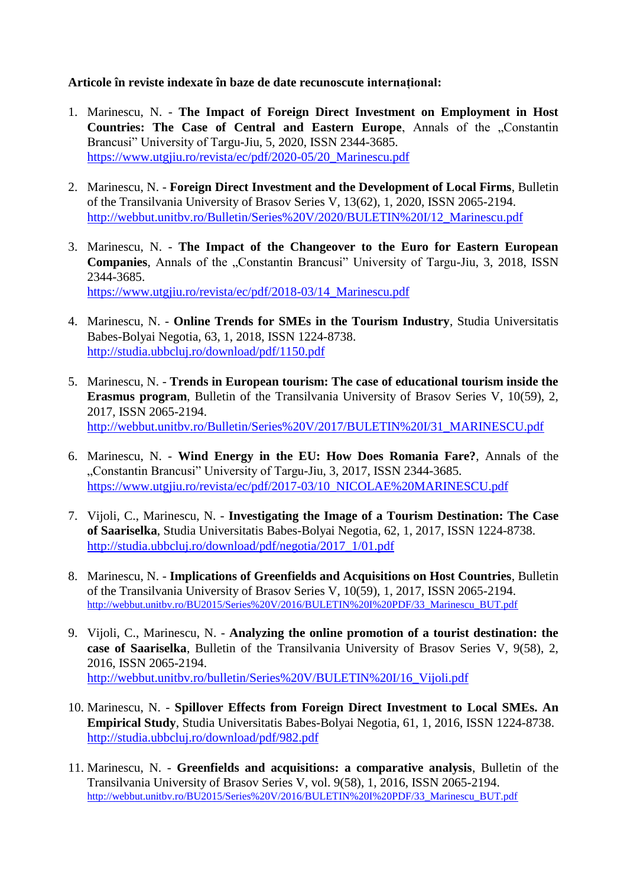#### **Articole în reviste indexate în baze de date recunoscute internațional:**

- 1. Marinescu, N. **The Impact of Foreign Direct Investment on Employment in Host Countries: The Case of Central and Eastern Europe**, Annals of the "Constantin Brancusi" University of Targu-Jiu, 5, 2020, ISSN 2344-3685. [https://www.utgjiu.ro/revista/ec/pdf/2020-05/20\\_Marinescu.pdf](https://www.utgjiu.ro/revista/ec/pdf/2020-05/20_Marinescu.pdf)
- 2. Marinescu, N. **Foreign Direct Investment and the Development of Local Firms**, Bulletin of the Transilvania University of Brasov Series V, 13(62), 1, 2020, ISSN 2065-2194. [http://webbut.unitbv.ro/Bulletin/Series%20V/2020/BULETIN%20I/12\\_Marinescu.pdf](http://webbut.unitbv.ro/Bulletin/Series%20V/2020/BULETIN%20I/12_Marinescu.pdf)
- 3. Marinescu, N. **The Impact of the Changeover to the Euro for Eastern European Companies**, Annals of the "Constantin Brancusi" University of Targu-Jiu, 3, 2018, ISSN 2344-3685. [https://www.utgjiu.ro/revista/ec/pdf/2018-03/14\\_Marinescu.pdf](https://www.utgjiu.ro/revista/ec/pdf/2018-03/14_Marinescu.pdf)
- 4. Marinescu, N. **Online Trends for SMEs in the Tourism Industry**, Studia Universitatis Babes-Bolyai Negotia, 63, 1, 2018, ISSN 1224-8738. <http://studia.ubbcluj.ro/download/pdf/1150.pdf>
- 5. Marinescu, N. **Trends in European tourism: The case of educational tourism inside the Erasmus program**, Bulletin of the Transilvania University of Brasov Series V, 10(59), 2, 2017, ISSN 2065-2194. [http://webbut.unitbv.ro/Bulletin/Series%20V/2017/BULETIN%20I/31\\_MARINESCU.pdf](http://webbut.unitbv.ro/Bulletin/Series%20V/2017/BULETIN%20I/31_MARINESCU.pdf)
- 6. Marinescu, N. **Wind Energy in the EU: How Does Romania Fare?**, Annals of the "Constantin Brancusi" University of Targu-Jiu, 3, 2017, ISSN 2344-3685. [https://www.utgjiu.ro/revista/ec/pdf/2017-03/10\\_NICOLAE%20MARINESCU.pdf](https://www.utgjiu.ro/revista/ec/pdf/2017-03/10_NICOLAE%20MARINESCU.pdf)
- 7. Vijoli, C., Marinescu, N. **Investigating the Image of a Tourism Destination: The Case of Saariselka**, Studia Universitatis Babes-Bolyai Negotia, 62, 1, 2017, ISSN 1224-8738. [http://studia.ubbcluj.ro/download/pdf/negotia/2017\\_1/01.pdf](http://studia.ubbcluj.ro/download/pdf/negotia/2017_1/01.pdf)
- 8. Marinescu, N. **Implications of Greenfields and Acquisitions on Host Countries**, Bulletin of the Transilvania University of Brasov Series V, 10(59), 1, 2017, ISSN 2065-2194. [http://webbut.unitbv.ro/BU2015/Series%20V/2016/BULETIN%20I%20PDF/33\\_Marinescu\\_BUT.pdf](http://webbut.unitbv.ro/BU2015/Series%20V/2016/BULETIN%20I%20PDF/33_Marinescu_BUT.pdf)
- 9. Vijoli, C., Marinescu, N. **Analyzing the online promotion of a tourist destination: the case of Saariselka**, Bulletin of the Transilvania University of Brasov Series V, 9(58), 2, 2016, ISSN 2065-2194. [http://webbut.unitbv.ro/bulletin/Series%20V/BULETIN%20I/16\\_Vijoli.pdf](http://webbut.unitbv.ro/bulletin/Series%20V/BULETIN%20I/16_Vijoli.pdf)
- 10. Marinescu, N. **Spillover Effects from Foreign Direct Investment to Local SMEs. An Empirical Study**, Studia Universitatis Babes-Bolyai Negotia, 61, 1, 2016, ISSN 1224-8738. <http://studia.ubbcluj.ro/download/pdf/982.pdf>
- 11. Marinescu, N. **Greenfields and acquisitions: a comparative analysis**, Bulletin of the Transilvania University of Brasov Series V, vol. 9(58), 1, 2016, ISSN 2065-2194. [http://webbut.unitbv.ro/BU2015/Series%20V/2016/BULETIN%20I%20PDF/33\\_Marinescu\\_BUT.pdf](http://webbut.unitbv.ro/BU2015/Series%20V/2016/BULETIN%20I%20PDF/33_Marinescu_BUT.pdf)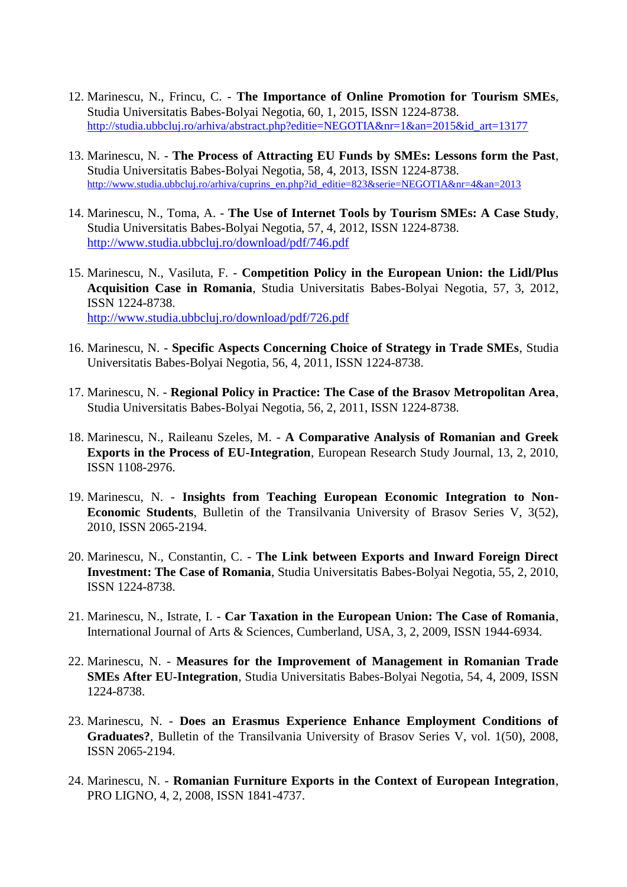- 12. Marinescu, N., Frincu, C. **The Importance of Online Promotion for Tourism SMEs**, Studia Universitatis Babes-Bolyai Negotia, 60, 1, 2015, ISSN 1224-8738. [http://studia.ubbcluj.ro/arhiva/abstract.php?editie=NEGOTIA&nr=1&an=2015&id\\_art=13177](http://studia.ubbcluj.ro/arhiva/abstract.php?editie=NEGOTIA&nr=1&an=2015&id_art=13177)
- 13. Marinescu, N. **The Process of Attracting EU Funds by SMEs: Lessons form the Past**, Studia Universitatis Babes-Bolyai Negotia, 58, 4, 2013, ISSN 1224-8738. [http://www.studia.ubbcluj.ro/arhiva/cuprins\\_en.php?id\\_editie=823&serie=NEGOTIA&nr=4&an=2013](http://www.studia.ubbcluj.ro/arhiva/cuprins_en.php?id_editie=823&serie=NEGOTIA&nr=4&an=2013)
- 14. Marinescu, N., Toma, A. **The Use of Internet Tools by Tourism SMEs: A Case Study**, Studia Universitatis Babes-Bolyai Negotia, 57, 4, 2012, ISSN 1224-8738. <http://www.studia.ubbcluj.ro/download/pdf/746.pdf>
- 15. Marinescu, N., Vasiluta, F. **Competition Policy in the European Union: the Lidl/Plus Acquisition Case in Romania**, Studia Universitatis Babes-Bolyai Negotia, 57, 3, 2012, ISSN 1224-8738. <http://www.studia.ubbcluj.ro/download/pdf/726.pdf>
- 16. Marinescu, N. **Specific Aspects Concerning Choice of Strategy in Trade SMEs**, Studia Universitatis Babes-Bolyai Negotia, 56, 4, 2011, ISSN 1224-8738.
- 17. Marinescu, N. **Regional Policy in Practice: The Case of the Brasov Metropolitan Area**, Studia Universitatis Babes-Bolyai Negotia, 56, 2, 2011, ISSN 1224-8738.
- 18. Marinescu, N., Raileanu Szeles, M. **A Comparative Analysis of Romanian and Greek Exports in the Process of EU-Integration**, European Research Study Journal, 13, 2, 2010, ISSN 1108-2976.
- 19. Marinescu, N. **Insights from Teaching European Economic Integration to Non-Economic Students**, Bulletin of the Transilvania University of Brasov Series V, 3(52), 2010, ISSN 2065-2194.
- 20. Marinescu, N., Constantin, C. **The Link between Exports and Inward Foreign Direct Investment: The Case of Romania**, Studia Universitatis Babes-Bolyai Negotia, 55, 2, 2010, ISSN 1224-8738.
- 21. Marinescu, N., Istrate, I. **Car Taxation in the European Union: The Case of Romania**, International Journal of Arts & Sciences, Cumberland, USA, 3, 2, 2009, ISSN 1944-6934.
- 22. Marinescu, N. **Measures for the Improvement of Management in Romanian Trade SMEs After EU-Integration**, Studia Universitatis Babes-Bolyai Negotia, 54, 4, 2009, ISSN 1224-8738.
- 23. Marinescu, N. **Does an Erasmus Experience Enhance Employment Conditions of Graduates?**, Bulletin of the Transilvania University of Brasov Series V, vol. 1(50), 2008, ISSN 2065-2194.
- 24. Marinescu, N. **Romanian Furniture Exports in the Context of European Integration**, PRO LIGNO, 4, 2, 2008, ISSN 1841-4737.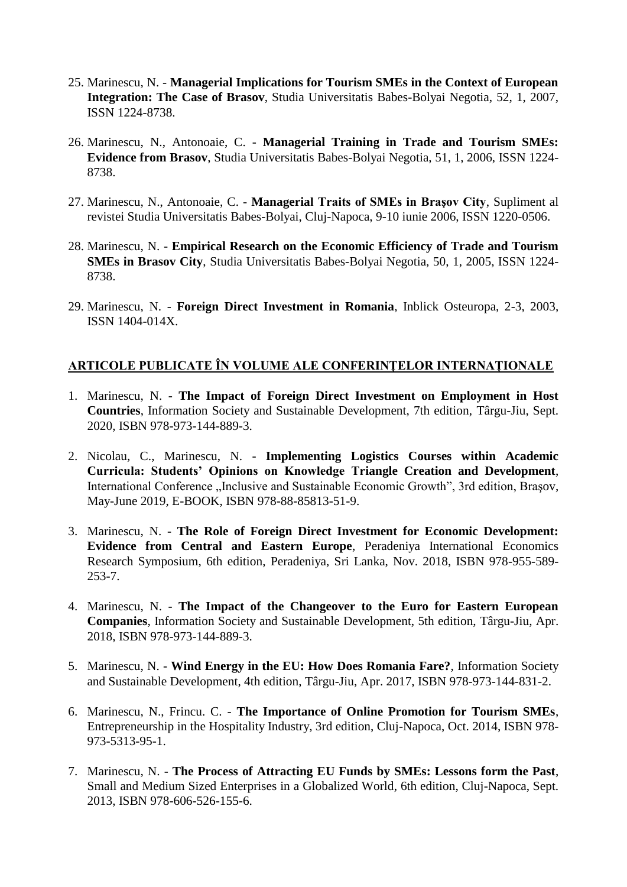- 25. Marinescu, N. **Managerial Implications for Tourism SMEs in the Context of European Integration: The Case of Brasov**, Studia Universitatis Babes-Bolyai Negotia, 52, 1, 2007, ISSN 1224-8738.
- 26. Marinescu, N., Antonoaie, C. **Managerial Training in Trade and Tourism SMEs: Evidence from Brasov**, Studia Universitatis Babes-Bolyai Negotia, 51, 1, 2006, ISSN 1224- 8738.
- 27. Marinescu, N., Antonoaie, C. **Managerial Traits of SMEs in Braşov City**, Supliment al revistei Studia Universitatis Babes-Bolyai, Cluj-Napoca, 9-10 iunie 2006, ISSN 1220-0506.
- 28. Marinescu, N. **Empirical Research on the Economic Efficiency of Trade and Tourism SMEs in Brasov City**, Studia Universitatis Babes-Bolyai Negotia, 50, 1, 2005, ISSN 1224- 8738.
- 29. Marinescu, N. **Foreign Direct Investment in Romania**, Inblick Osteuropa, 2-3, 2003, ISSN 1404-014X.

## **ARTICOLE PUBLICATE ÎN VOLUME ALE CONFERINŢELOR INTERNAŢIONALE**

- 1. Marinescu, N. **The Impact of Foreign Direct Investment on Employment in Host Countries**, Information Society and Sustainable Development, 7th edition, Târgu-Jiu, Sept. 2020, ISBN 978-973-144-889-3.
- 2. Nicolau, C., Marinescu, N. **Implementing Logistics Courses within Academic Curricula: Students' Opinions on Knowledge Triangle Creation and Development**, International Conference "Inclusive and Sustainable Economic Growth", 3rd edition, Brașov, May-June 2019, E-BOOK, ISBN 978-88-85813-51-9.
- 3. Marinescu, N. **The Role of Foreign Direct Investment for Economic Development: Evidence from Central and Eastern Europe**, Peradeniya International Economics Research Symposium, 6th edition, Peradeniya, Sri Lanka, Nov. 2018, ISBN 978-955-589- 253-7.
- 4. Marinescu, N. **The Impact of the Changeover to the Euro for Eastern European Companies**, Information Society and Sustainable Development, 5th edition, Târgu-Jiu, Apr. 2018, ISBN 978-973-144-889-3.
- 5. Marinescu, N. **Wind Energy in the EU: How Does Romania Fare?**, Information Society and Sustainable Development, 4th edition, Târgu-Jiu, Apr. 2017, ISBN 978-973-144-831-2.
- 6. Marinescu, N., Frincu. C. **The Importance of Online Promotion for Tourism SMEs**, Entrepreneurship in the Hospitality Industry, 3rd edition, Cluj-Napoca, Oct. 2014, ISBN 978- 973-5313-95-1.
- 7. Marinescu, N. **The Process of Attracting EU Funds by SMEs: Lessons form the Past**, Small and Medium Sized Enterprises in a Globalized World, 6th edition, Cluj-Napoca, Sept. 2013, ISBN 978-606-526-155-6.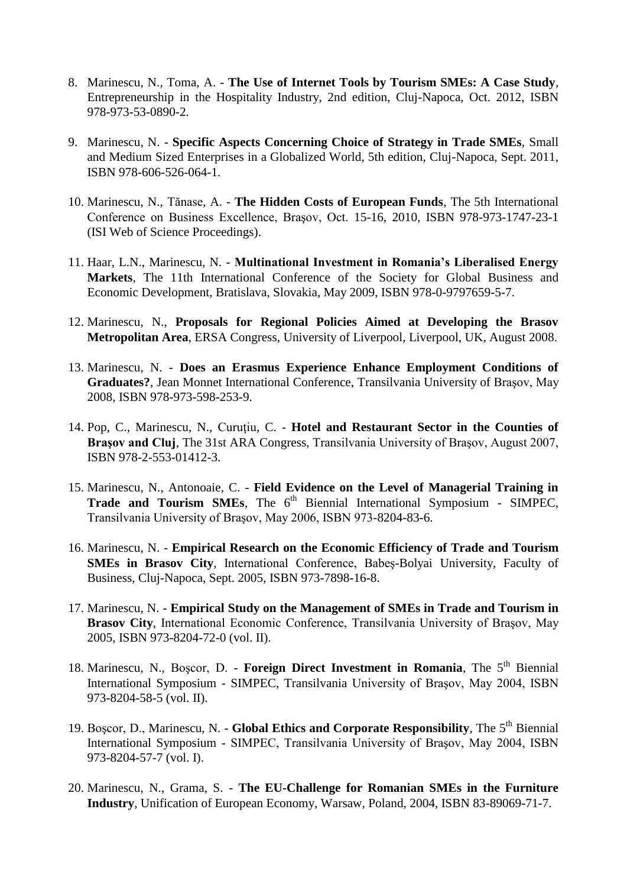- 8. Marinescu, N., Toma, A. **The Use of Internet Tools by Tourism SMEs: A Case Study**, Entrepreneurship in the Hospitality Industry, 2nd edition, Cluj-Napoca, Oct. 2012, ISBN 978-973-53-0890-2.
- 9. Marinescu, N. **Specific Aspects Concerning Choice of Strategy in Trade SMEs**, Small and Medium Sized Enterprises in a Globalized World, 5th edition, Cluj-Napoca, Sept. 2011, ISBN 978-606-526-064-1.
- 10. Marinescu, N., Tănase, A. **The Hidden Costs of European Funds**, The 5th International Conference on Business Excellence, Braşov, Oct. 15-16, 2010, ISBN 978-973-1747-23-1 (ISI Web of Science Proceedings).
- 11. Haar, L.N., Marinescu, N. **Multinational Investment in Romania's Liberalised Energy Markets**, The 11th International Conference of the Society for Global Business and Economic Development, Bratislava, Slovakia, May 2009, ISBN 978-0-9797659-5-7.
- 12. Marinescu, N., **Proposals for Regional Policies Aimed at Developing the Brasov Metropolitan Area**, ERSA Congress, University of Liverpool, Liverpool, UK, August 2008.
- 13. Marinescu, N. **Does an Erasmus Experience Enhance Employment Conditions of Graduates?**, Jean Monnet International Conference, Transilvania University of Braşov, May 2008, ISBN 978-973-598-253-9.
- 14. Pop, C., Marinescu, N., Curuţiu, C. **Hotel and Restaurant Sector in the Counties of Braşov and Cluj**, The 31st ARA Congress, Transilvania University of Braşov, August 2007, ISBN 978-2-553-01412-3.
- 15. Marinescu, N., Antonoaie, C. **Field Evidence on the Level of Managerial Training in**  Trade and Tourism SMEs, The 6<sup>th</sup> Biennial International Symposium - SIMPEC, Transilvania University of Braşov, May 2006, ISBN 973-8204-83-6.
- 16. Marinescu, N. **Empirical Research on the Economic Efficiency of Trade and Tourism SMEs in Brasov City**, International Conference, Babeş-Bolyai University, Faculty of Business, Cluj-Napoca, Sept. 2005, ISBN 973-7898-16-8.
- 17. Marinescu, N. **Empirical Study on the Management of SMEs in Trade and Tourism in Brasov City**, International Economic Conference, Transilvania University of Braşov, May 2005, ISBN 973-8204-72-0 (vol. II).
- 18. Marinescu, N., Boșcor, D. **Foreign Direct Investment in Romania**, The 5<sup>th</sup> Biennial International Symposium - SIMPEC, Transilvania University of Braşov, May 2004, ISBN 973-8204-58-5 (vol. II).
- 19. Boşcor, D., Marinescu, N. **Global Ethics and Corporate Responsibility**, The 5th Biennial International Symposium - SIMPEC, Transilvania University of Braşov, May 2004, ISBN 973-8204-57-7 (vol. I).
- 20. Marinescu, N., Grama, S. **The EU-Challenge for Romanian SMEs in the Furniture Industry**, Unification of European Economy, Warsaw, Poland, 2004, ISBN 83-89069-71-7.